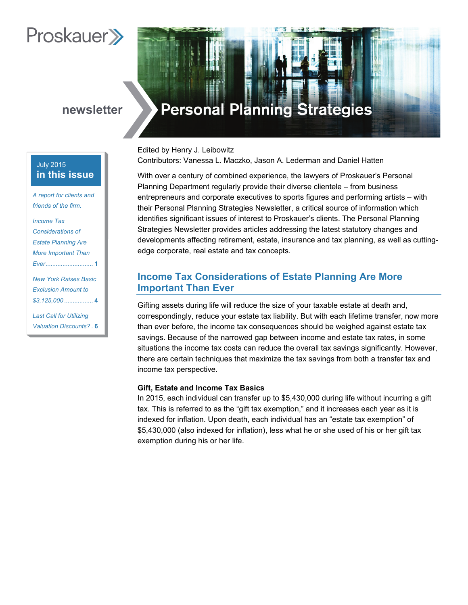# **Proskauer**

# **newsletter**

# July 2015 **in this issue**

*A report for clients and*  friends of the firm.

*Income Tax Considerations of Estate Planning Are More Important Than Ever............................* **1**

*New York Raises Basic Exclusion Amount to \$3,125,000 .................* **4**

*Last Call for Utilizing Valuation Discounts? .* **6**

# **Personal Planning Strategies**

Edited by Henry J. Leibowitz Contributors: Vanessa L. Maczko, Jason A. Lederman and Daniel Hatten

With over a century of combined experience, the lawyers of Proskauer's Personal Planning Department regularly provide their diverse clientele – from business entrepreneurs and corporate executives to sports figures and performing artists – with their Personal Planning Strategies Newsletter, a critical source of information which identifies significant issues of interest to Proskauer's clients. The Personal Planning Strategies Newsletter provides articles addressing the latest statutory changes and developments affecting retirement, estate, insurance and tax planning, as well as cuttingedge corporate, real estate and tax concepts.

# **Income Tax Considerations of Estate Planning Are More Important Than Ever**

Gifting assets during life will reduce the size of your taxable estate at death and, correspondingly, reduce your estate tax liability. But with each lifetime transfer, now more than ever before, the income tax consequences should be weighed against estate tax savings. Because of the narrowed gap between income and estate tax rates, in some situations the income tax costs can reduce the overall tax savings significantly. However, there are certain techniques that maximize the tax savings from both a transfer tax and income tax perspective.

## **Gift, Estate and Income Tax Basics**

In 2015, each individual can transfer up to \$5,430,000 during life without incurring a gift tax. This is referred to as the "gift tax exemption," and it increases each year as it is indexed for inflation. Upon death, each individual has an "estate tax exemption" of \$5,430,000 (also indexed for inflation), less what he or she used of his or her gift tax exemption during his or her life.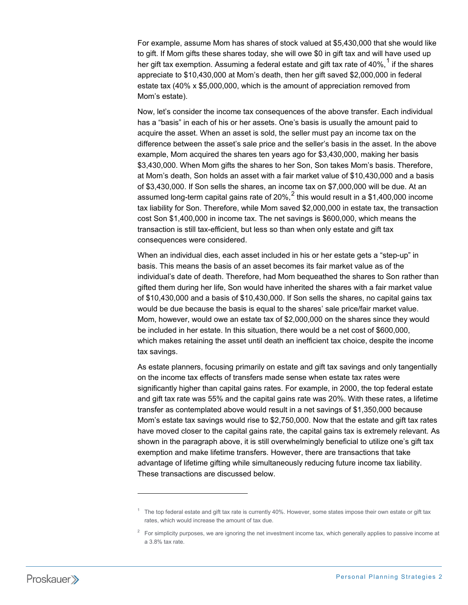For example, assume Mom has shares of stock valued at \$5,430,000 that she would like to gift. If Mom gifts these shares today, she will owe \$0 in gift tax and will have used up her gift tax exemption. Assuming a federal estate and gift tax rate of 40%, $1$  if the shares appreciate to \$10,430,000 at Mom's death, then her gift saved \$2,000,000 in federal estate tax (40% x \$5,000,000, which is the amount of appreciation removed from Mom's estate).

Now, let's consider the income tax consequences of the above transfer. Each individual has a "basis" in each of his or her assets. One's basis is usually the amount paid to acquire the asset. When an asset is sold, the seller must pay an income tax on the difference between the asset's sale price and the seller's basis in the asset. In the above example, Mom acquired the shares ten years ago for \$3,430,000, making her basis \$3,430,000. When Mom gifts the shares to her Son, Son takes Mom's basis. Therefore, at Mom's death, Son holds an asset with a fair market value of \$10,430,000 and a basis of \$3,430,000. If Son sells the shares, an income tax on \$7,000,000 will be due. At an assumed long-term capital gains rate of  $20\%$  $20\%$ ,  $2$  this would result in a \$1,400,000 income tax liability for Son. Therefore, while Mom saved \$2,000,000 in estate tax, the transaction cost Son \$1,400,000 in income tax. The net savings is \$600,000, which means the transaction is still tax-efficient, but less so than when only estate and gift tax consequences were considered.

When an individual dies, each asset included in his or her estate gets a "step-up" in basis. This means the basis of an asset becomes its fair market value as of the individual's date of death. Therefore, had Mom bequeathed the shares to Son rather than gifted them during her life, Son would have inherited the shares with a fair market value of \$10,430,000 and a basis of \$10,430,000. If Son sells the shares, no capital gains tax would be due because the basis is equal to the shares' sale price/fair market value. Mom, however, would owe an estate tax of \$2,000,000 on the shares since they would be included in her estate. In this situation, there would be a net cost of \$600,000, which makes retaining the asset until death an inefficient tax choice, despite the income tax savings.

As estate planners, focusing primarily on estate and gift tax savings and only tangentially on the income tax effects of transfers made sense when estate tax rates were significantly higher than capital gains rates. For example, in 2000, the top federal estate and gift tax rate was 55% and the capital gains rate was 20%. With these rates, a lifetime transfer as contemplated above would result in a net savings of \$1,350,000 because Mom's estate tax savings would rise to \$2,750,000. Now that the estate and gift tax rates have moved closer to the capital gains rate, the capital gains tax is extremely relevant. As shown in the paragraph above, it is still overwhelmingly beneficial to utilize one's gift tax exemption and make lifetime transfers. However, there are transactions that take advantage of lifetime gifting while simultaneously reducing future income tax liability. These transactions are discussed below.

 $\overline{a}$ 

<span id="page-1-0"></span> $1$  The top federal estate and gift tax rate is currently 40%. However, some states impose their own estate or gift tax rates, which would increase the amount of tax due.

<span id="page-1-1"></span> $2$  For simplicity purposes, we are ignoring the net investment income tax, which generally applies to passive income at a 3.8% tax rate.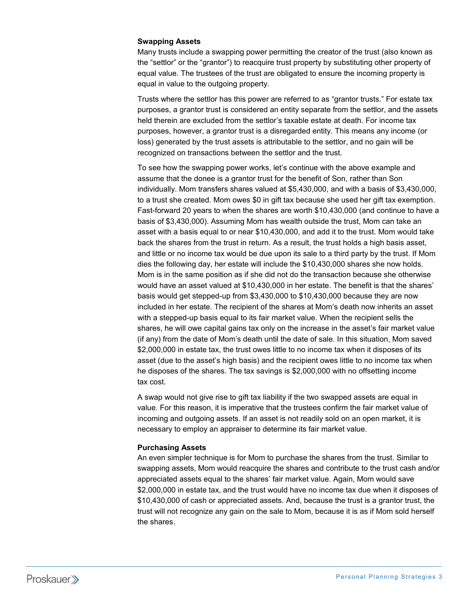## **Swapping Assets**

Many trusts include a swapping power permitting the creator of the trust (also known as the "settlor" or the "grantor") to reacquire trust property by substituting other property of equal value. The trustees of the trust are obligated to ensure the incoming property is equal in value to the outgoing property.

Trusts where the settlor has this power are referred to as "grantor trusts." For estate tax purposes, a grantor trust is considered an entity separate from the settlor, and the assets held therein are excluded from the settlor's taxable estate at death. For income tax purposes, however, a grantor trust is a disregarded entity. This means any income (or loss) generated by the trust assets is attributable to the settlor, and no gain will be recognized on transactions between the settlor and the trust.

To see how the swapping power works, let's continue with the above example and assume that the donee is a grantor trust for the benefit of Son, rather than Son individually. Mom transfers shares valued at \$5,430,000, and with a basis of \$3,430,000, to a trust she created. Mom owes \$0 in gift tax because she used her gift tax exemption. Fast-forward 20 years to when the shares are worth \$10,430,000 (and continue to have a basis of \$3,430,000). Assuming Mom has wealth outside the trust, Mom can take an asset with a basis equal to or near \$10,430,000, and add it to the trust. Mom would take back the shares from the trust in return. As a result, the trust holds a high basis asset, and little or no income tax would be due upon its sale to a third party by the trust. If Mom dies the following day, her estate will include the \$10,430,000 shares she now holds. Mom is in the same position as if she did not do the transaction because she otherwise would have an asset valued at \$10,430,000 in her estate. The benefit is that the shares' basis would get stepped-up from \$3,430,000 to \$10,430,000 because they are now included in her estate. The recipient of the shares at Mom's death now inherits an asset with a stepped-up basis equal to its fair market value. When the recipient sells the shares, he will owe capital gains tax only on the increase in the asset's fair market value (if any) from the date of Mom's death until the date of sale. In this situation, Mom saved \$2,000,000 in estate tax, the trust owes little to no income tax when it disposes of its asset (due to the asset's high basis) and the recipient owes little to no income tax when he disposes of the shares. The tax savings is \$2,000,000 with no offsetting income tax cost.

A swap would not give rise to gift tax liability if the two swapped assets are equal in value. For this reason, it is imperative that the trustees confirm the fair market value of incoming and outgoing assets. If an asset is not readily sold on an open market, it is necessary to employ an appraiser to determine its fair market value.

### **Purchasing Assets**

An even simpler technique is for Mom to purchase the shares from the trust. Similar to swapping assets, Mom would reacquire the shares and contribute to the trust cash and/or appreciated assets equal to the shares' fair market value. Again, Mom would save \$2,000,000 in estate tax, and the trust would have no income tax due when it disposes of \$10,430,000 of cash or appreciated assets. And, because the trust is a grantor trust, the trust will not recognize any gain on the sale to Mom, because it is as if Mom sold herself the shares.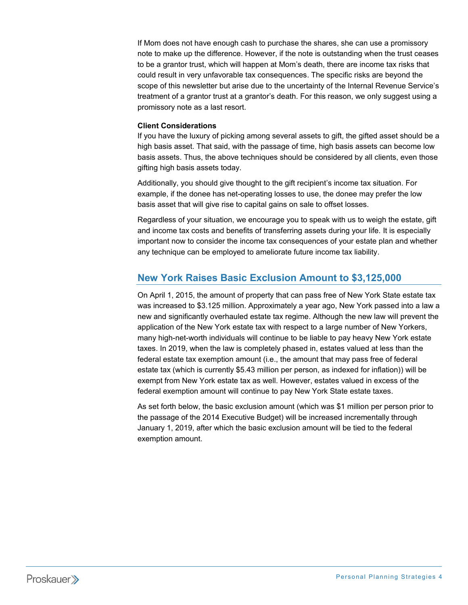If Mom does not have enough cash to purchase the shares, she can use a promissory note to make up the difference. However, if the note is outstanding when the trust ceases to be a grantor trust, which will happen at Mom's death, there are income tax risks that could result in very unfavorable tax consequences. The specific risks are beyond the scope of this newsletter but arise due to the uncertainty of the Internal Revenue Service's treatment of a grantor trust at a grantor's death. For this reason, we only suggest using a promissory note as a last resort.

## **Client Considerations**

If you have the luxury of picking among several assets to gift, the gifted asset should be a high basis asset. That said, with the passage of time, high basis assets can become low basis assets. Thus, the above techniques should be considered by all clients, even those gifting high basis assets today.

Additionally, you should give thought to the gift recipient's income tax situation. For example, if the donee has net-operating losses to use, the donee may prefer the low basis asset that will give rise to capital gains on sale to offset losses.

Regardless of your situation, we encourage you to speak with us to weigh the estate, gift and income tax costs and benefits of transferring assets during your life. It is especially important now to consider the income tax consequences of your estate plan and whether any technique can be employed to ameliorate future income tax liability.

# **New York Raises Basic Exclusion Amount to \$3,125,000**

On April 1, 2015, the amount of property that can pass free of New York State estate tax was increased to \$3.125 million. Approximately a year ago, New York passed into a law a new and significantly overhauled estate tax regime. Although the new law will prevent the application of the New York estate tax with respect to a large number of New Yorkers, many high-net-worth individuals will continue to be liable to pay heavy New York estate taxes. In 2019, when the law is completely phased in, estates valued at less than the federal estate tax exemption amount (i.e., the amount that may pass free of federal estate tax (which is currently \$5.43 million per person, as indexed for inflation)) will be exempt from New York estate tax as well. However, estates valued in excess of the federal exemption amount will continue to pay New York State estate taxes.

As set forth below, the basic exclusion amount (which was \$1 million per person prior to the passage of the 2014 Executive Budget) will be increased incrementally through January 1, 2019, after which the basic exclusion amount will be tied to the federal exemption amount.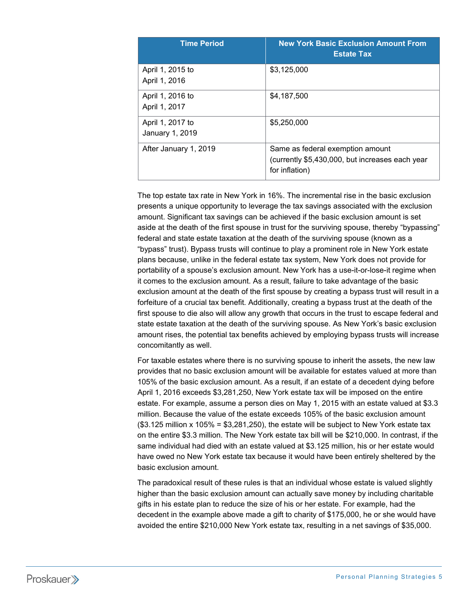| <b>Time Period</b>                  | <b>New York Basic Exclusion Amount From</b><br><b>Estate Tax</b>                                      |
|-------------------------------------|-------------------------------------------------------------------------------------------------------|
| April 1, 2015 to<br>April 1, 2016   | \$3,125,000                                                                                           |
| April 1, 2016 to<br>April 1, 2017   | \$4,187,500                                                                                           |
| April 1, 2017 to<br>January 1, 2019 | \$5,250,000                                                                                           |
| After January 1, 2019               | Same as federal exemption amount<br>(currently \$5,430,000, but increases each year<br>for inflation) |

The top estate tax rate in New York in 16%. The incremental rise in the basic exclusion presents a unique opportunity to leverage the tax savings associated with the exclusion amount. Significant tax savings can be achieved if the basic exclusion amount is set aside at the death of the first spouse in trust for the surviving spouse, thereby "bypassing" federal and state estate taxation at the death of the surviving spouse (known as a "bypass" trust). Bypass trusts will continue to play a prominent role in New York estate plans because, unlike in the federal estate tax system, New York does not provide for portability of a spouse's exclusion amount. New York has a use-it-or-lose-it regime when it comes to the exclusion amount. As a result, failure to take advantage of the basic exclusion amount at the death of the first spouse by creating a bypass trust will result in a forfeiture of a crucial tax benefit. Additionally, creating a bypass trust at the death of the first spouse to die also will allow any growth that occurs in the trust to escape federal and state estate taxation at the death of the surviving spouse. As New York's basic exclusion amount rises, the potential tax benefits achieved by employing bypass trusts will increase concomitantly as well.

For taxable estates where there is no surviving spouse to inherit the assets, the new law provides that no basic exclusion amount will be available for estates valued at more than 105% of the basic exclusion amount. As a result, if an estate of a decedent dying before April 1, 2016 exceeds \$3,281,250, New York estate tax will be imposed on the entire estate. For example, assume a person dies on May 1, 2015 with an estate valued at \$3.3 million. Because the value of the estate exceeds 105% of the basic exclusion amount  $($3.125$$  million x 105% = \$3,281,250), the estate will be subject to New York estate tax on the entire \$3.3 million. The New York estate tax bill will be \$210,000. In contrast, if the same individual had died with an estate valued at \$3.125 million, his or her estate would have owed no New York estate tax because it would have been entirely sheltered by the basic exclusion amount.

The paradoxical result of these rules is that an individual whose estate is valued slightly higher than the basic exclusion amount can actually save money by including charitable gifts in his estate plan to reduce the size of his or her estate. For example, had the decedent in the example above made a gift to charity of \$175,000, he or she would have avoided the entire \$210,000 New York estate tax, resulting in a net savings of \$35,000.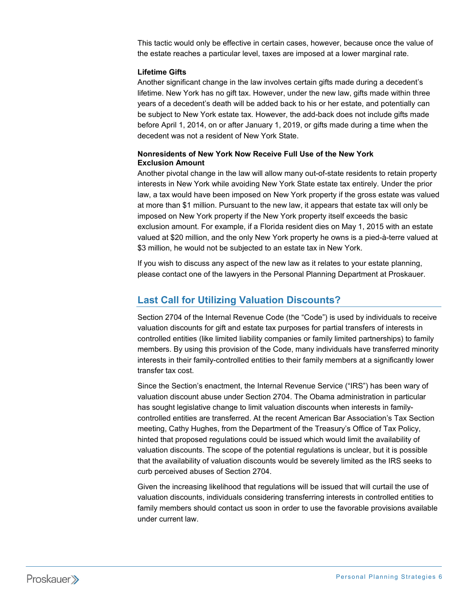This tactic would only be effective in certain cases, however, because once the value of the estate reaches a particular level, taxes are imposed at a lower marginal rate.

### **Lifetime Gifts**

Another significant change in the law involves certain gifts made during a decedent's lifetime. New York has no gift tax. However, under the new law, gifts made within three years of a decedent's death will be added back to his or her estate, and potentially can be subject to New York estate tax. However, the add-back does not include gifts made before April 1, 2014, on or after January 1, 2019, or gifts made during a time when the decedent was not a resident of New York State.

## **Nonresidents of New York Now Receive Full Use of the New York Exclusion Amount**

Another pivotal change in the law will allow many out-of-state residents to retain property interests in New York while avoiding New York State estate tax entirely. Under the prior law, a tax would have been imposed on New York property if the gross estate was valued at more than \$1 million. Pursuant to the new law, it appears that estate tax will only be imposed on New York property if the New York property itself exceeds the basic exclusion amount. For example, if a Florida resident dies on May 1, 2015 with an estate valued at \$20 million, and the only New York property he owns is a pied-à-terre valued at \$3 million, he would not be subjected to an estate tax in New York.

If you wish to discuss any aspect of the new law as it relates to your estate planning, please contact one of the lawyers in the Personal Planning Department at Proskauer.

## **Last Call for Utilizing Valuation Discounts?**

Section 2704 of the Internal Revenue Code (the "Code") is used by individuals to receive valuation discounts for gift and estate tax purposes for partial transfers of interests in controlled entities (like limited liability companies or family limited partnerships) to family members. By using this provision of the Code, many individuals have transferred minority interests in their family-controlled entities to their family members at a significantly lower transfer tax cost.

Since the Section's enactment, the Internal Revenue Service ("IRS") has been wary of valuation discount abuse under Section 2704. The Obama administration in particular has sought legislative change to limit valuation discounts when interests in familycontrolled entities are transferred. At the recent American Bar Association's Tax Section meeting, Cathy Hughes, from the Department of the Treasury's Office of Tax Policy, hinted that proposed regulations could be issued which would limit the availability of valuation discounts. The scope of the potential regulations is unclear, but it is possible that the availability of valuation discounts would be severely limited as the IRS seeks to curb perceived abuses of Section 2704.

Given the increasing likelihood that regulations will be issued that will curtail the use of valuation discounts, individuals considering transferring interests in controlled entities to family members should contact us soon in order to use the favorable provisions available under current law.